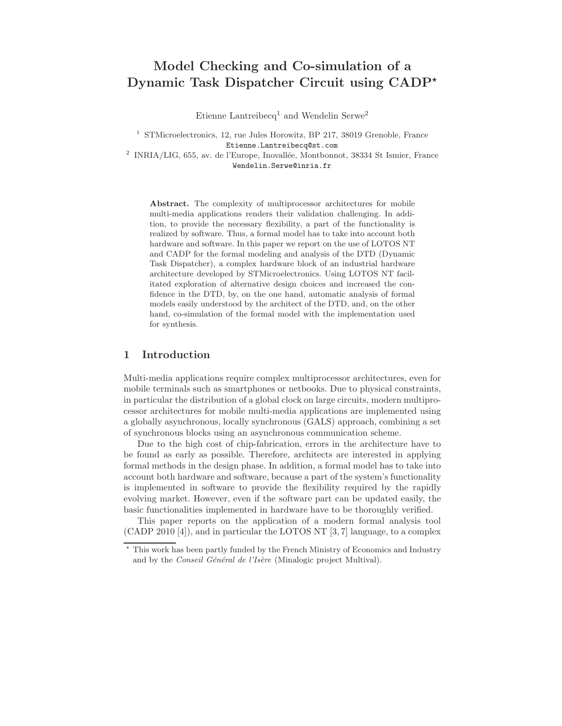# Model Checking and Co-simulation of a Dynamic Task Dispatcher Circuit using CADP<sup>\*</sup>

Etienne Lantreibecq<sup>1</sup> and Wendelin Serwe<sup>2</sup>

<sup>1</sup> STMicroelectronics, 12, rue Jules Horowitz, BP 217, 38019 Grenoble, France Etienne.Lantreibecq@st.com

<sup>2</sup> INRIA/LIG, 655, av. de l'Europe, Inovallée, Montbonnot, 38334 St Ismier, France Wendelin.Serwe@inria.fr

Abstract. The complexity of multiprocessor architectures for mobile multi-media applications renders their validation challenging. In addition, to provide the necessary flexibility, a part of the functionality is realized by software. Thus, a formal model has to take into account both hardware and software. In this paper we report on the use of LOTOS NT and CADP for the formal modeling and analysis of the DTD (Dynamic Task Dispatcher), a complex hardware block of an industrial hardware architecture developed by STMicroelectronics. Using LOTOS NT facilitated exploration of alternative design choices and increased the confidence in the DTD, by, on the one hand, automatic analysis of formal models easily understood by the architect of the DTD, and, on the other hand, co-simulation of the formal model with the implementation used for synthesis.

### 1 Introduction

Multi-media applications require complex multiprocessor architectures, even for mobile terminals such as smartphones or netbooks. Due to physical constraints, in particular the distribution of a global clock on large circuits, modern multiprocessor architectures for mobile multi-media applications are implemented using a globally asynchronous, locally synchronous (GALS) approach, combining a set of synchronous blocks using an asynchronous communication scheme.

Due to the high cost of chip-fabrication, errors in the architecture have to be found as early as possible. Therefore, architects are interested in applying formal methods in the design phase. In addition, a formal model has to take into account both hardware and software, because a part of the system's functionality is implemented in software to provide the flexibility required by the rapidly evolving market. However, even if the software part can be updated easily, the basic functionalities implemented in hardware have to be thoroughly verified.

This paper reports on the application of a modern formal analysis tool (CADP 2010 [4]), and in particular the LOTOS NT [3, 7] language, to a complex

This work has been partly funded by the French Ministry of Economics and Industry and by the Conseil Général de l'Isère (Minalogic project Multival).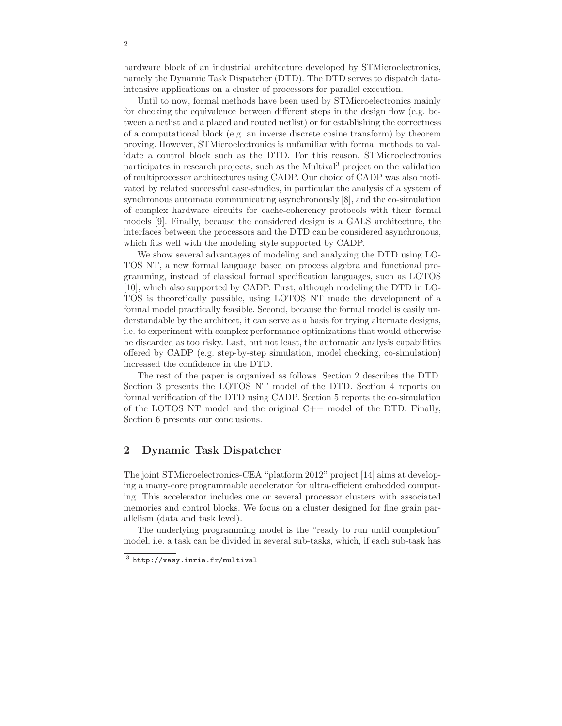hardware block of an industrial architecture developed by STMicroelectronics, namely the Dynamic Task Dispatcher (DTD). The DTD serves to dispatch dataintensive applications on a cluster of processors for parallel execution.

Until to now, formal methods have been used by STMicroelectronics mainly for checking the equivalence between different steps in the design flow (e.g. between a netlist and a placed and routed netlist) or for establishing the correctness of a computational block (e.g. an inverse discrete cosine transform) by theorem proving. However, STMicroelectronics is unfamiliar with formal methods to validate a control block such as the DTD. For this reason, STMicroelectronics participates in research projects, such as the Multival<sup>3</sup> project on the validation of multiprocessor architectures using CADP. Our choice of CADP was also motivated by related successful case-studies, in particular the analysis of a system of synchronous automata communicating asynchronously [8], and the co-simulation of complex hardware circuits for cache-coherency protocols with their formal models [9]. Finally, because the considered design is a GALS architecture, the interfaces between the processors and the DTD can be considered asynchronous, which fits well with the modeling style supported by CADP.

We show several advantages of modeling and analyzing the DTD using LO-TOS NT, a new formal language based on process algebra and functional programming, instead of classical formal specification languages, such as LOTOS [10], which also supported by CADP. First, although modeling the DTD in LO-TOS is theoretically possible, using LOTOS NT made the development of a formal model practically feasible. Second, because the formal model is easily understandable by the architect, it can serve as a basis for trying alternate designs, i.e. to experiment with complex performance optimizations that would otherwise be discarded as too risky. Last, but not least, the automatic analysis capabilities offered by CADP (e.g. step-by-step simulation, model checking, co-simulation) increased the confidence in the DTD.

The rest of the paper is organized as follows. Section 2 describes the DTD. Section 3 presents the LOTOS NT model of the DTD. Section 4 reports on formal verification of the DTD using CADP. Section 5 reports the co-simulation of the LOTOS NT model and the original  $C_{++}$  model of the DTD. Finally, Section 6 presents our conclusions.

## 2 Dynamic Task Dispatcher

The joint STMicroelectronics-CEA "platform 2012" project [14] aims at developing a many-core programmable accelerator for ultra-efficient embedded computing. This accelerator includes one or several processor clusters with associated memories and control blocks. We focus on a cluster designed for fine grain parallelism (data and task level).

The underlying programming model is the "ready to run until completion" model, i.e. a task can be divided in several sub-tasks, which, if each sub-task has

 $^3$  http://vasy.inria.fr/multival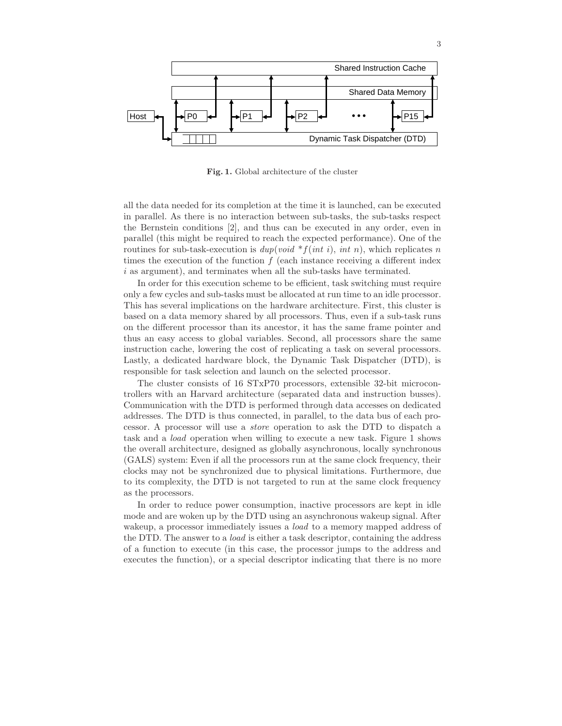

Fig. 1. Global architecture of the cluster

all the data needed for its completion at the time it is launched, can be executed in parallel. As there is no interaction between sub-tasks, the sub-tasks respect the Bernstein conditions [2], and thus can be executed in any order, even in parallel (this might be required to reach the expected performance). One of the routines for sub-task-execution is  $dup(void * f(int i), int n)$ , which replicates n times the execution of the function  $f$  (each instance receiving a different index i as argument), and terminates when all the sub-tasks have terminated.

In order for this execution scheme to be efficient, task switching must require only a few cycles and sub-tasks must be allocated at run time to an idle processor. This has several implications on the hardware architecture. First, this cluster is based on a data memory shared by all processors. Thus, even if a sub-task runs on the different processor than its ancestor, it has the same frame pointer and thus an easy access to global variables. Second, all processors share the same instruction cache, lowering the cost of replicating a task on several processors. Lastly, a dedicated hardware block, the Dynamic Task Dispatcher (DTD), is responsible for task selection and launch on the selected processor.

The cluster consists of 16 STxP70 processors, extensible 32-bit microcontrollers with an Harvard architecture (separated data and instruction busses). Communication with the DTD is performed through data accesses on dedicated addresses. The DTD is thus connected, in parallel, to the data bus of each processor. A processor will use a store operation to ask the DTD to dispatch a task and a load operation when willing to execute a new task. Figure 1 shows the overall architecture, designed as globally asynchronous, locally synchronous (GALS) system: Even if all the processors run at the same clock frequency, their clocks may not be synchronized due to physical limitations. Furthermore, due to its complexity, the DTD is not targeted to run at the same clock frequency as the processors.

In order to reduce power consumption, inactive processors are kept in idle mode and are woken up by the DTD using an asynchronous wakeup signal. After wakeup, a processor immediately issues a *load* to a memory mapped address of the DTD. The answer to a load is either a task descriptor, containing the address of a function to execute (in this case, the processor jumps to the address and executes the function), or a special descriptor indicating that there is no more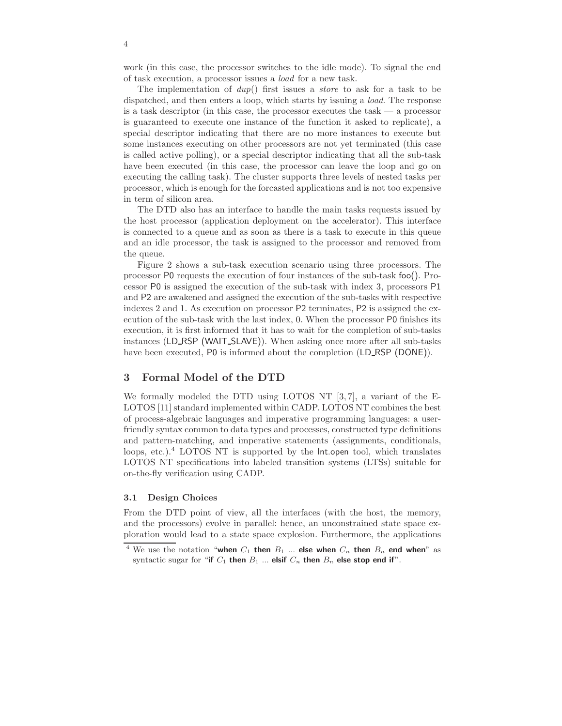work (in this case, the processor switches to the idle mode). To signal the end of task execution, a processor issues a load for a new task.

The implementation of  $dup()$  first issues a *store* to ask for a task to be dispatched, and then enters a loop, which starts by issuing a *load*. The response is a task descriptor (in this case, the processor executes the task — a processor is guaranteed to execute one instance of the function it asked to replicate), a special descriptor indicating that there are no more instances to execute but some instances executing on other processors are not yet terminated (this case is called active polling), or a special descriptor indicating that all the sub-task have been executed (in this case, the processor can leave the loop and go on executing the calling task). The cluster supports three levels of nested tasks per processor, which is enough for the forcasted applications and is not too expensive in term of silicon area.

The DTD also has an interface to handle the main tasks requests issued by the host processor (application deployment on the accelerator). This interface is connected to a queue and as soon as there is a task to execute in this queue and an idle processor, the task is assigned to the processor and removed from the queue.

Figure 2 shows a sub-task execution scenario using three processors. The processor P0 requests the execution of four instances of the sub-task foo(). Processor P0 is assigned the execution of the sub-task with index 3, processors P1 and P2 are awakened and assigned the execution of the sub-tasks with respective indexes 2 and 1. As execution on processor P2 terminates, P2 is assigned the execution of the sub-task with the last index, 0. When the processor P0 finishes its execution, it is first informed that it has to wait for the completion of sub-tasks instances (LD RSP (WAIT SLAVE)). When asking once more after all sub-tasks have been executed, P0 is informed about the completion (LD\_RSP (DONE)).

#### 3 Formal Model of the DTD

We formally modeled the DTD using LOTOS NT [3, 7], a variant of the E-LOTOS [11] standard implemented within CADP. LOTOS NT combines the best of process-algebraic languages and imperative programming languages: a userfriendly syntax common to data types and processes, constructed type definitions and pattern-matching, and imperative statements (assignments, conditionals, loops, etc.).<sup>4</sup> LOTOS NT is supported by the  $Int.open$  tool, which translates LOTOS NT specifications into labeled transition systems (LTSs) suitable for on-the-fly verification using CADP.

#### 3.1 Design Choices

From the DTD point of view, all the interfaces (with the host, the memory, and the processors) evolve in parallel: hence, an unconstrained state space exploration would lead to a state space explosion. Furthermore, the applications

<sup>&</sup>lt;sup>4</sup> We use the notation "when  $C_1$  then  $B_1$  ... else when  $C_n$  then  $B_n$  end when" as syntactic sugar for "if  $C_1$  then  $B_1$  ... elsif  $C_n$  then  $B_n$  else stop end if".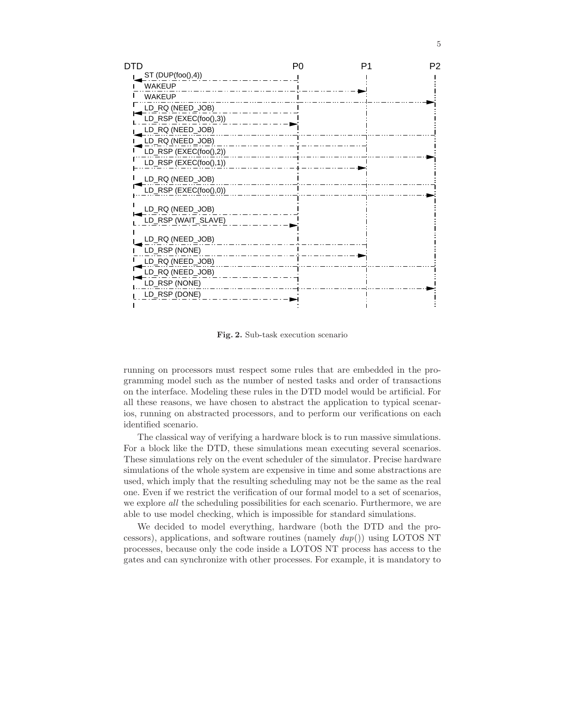

Fig. 2. Sub-task execution scenario

running on processors must respect some rules that are embedded in the programming model such as the number of nested tasks and order of transactions on the interface. Modeling these rules in the DTD model would be artificial. For all these reasons, we have chosen to abstract the application to typical scenarios, running on abstracted processors, and to perform our verifications on each identified scenario.

The classical way of verifying a hardware block is to run massive simulations. For a block like the DTD, these simulations mean executing several scenarios. These simulations rely on the event scheduler of the simulator. Precise hardware simulations of the whole system are expensive in time and some abstractions are used, which imply that the resulting scheduling may not be the same as the real one. Even if we restrict the verification of our formal model to a set of scenarios, we explore *all* the scheduling possibilities for each scenario. Furthermore, we are able to use model checking, which is impossible for standard simulations.

We decided to model everything, hardware (both the DTD and the processors), applications, and software routines (namely  $dup()$ ) using LOTOS NT processes, because only the code inside a LOTOS NT process has access to the gates and can synchronize with other processes. For example, it is mandatory to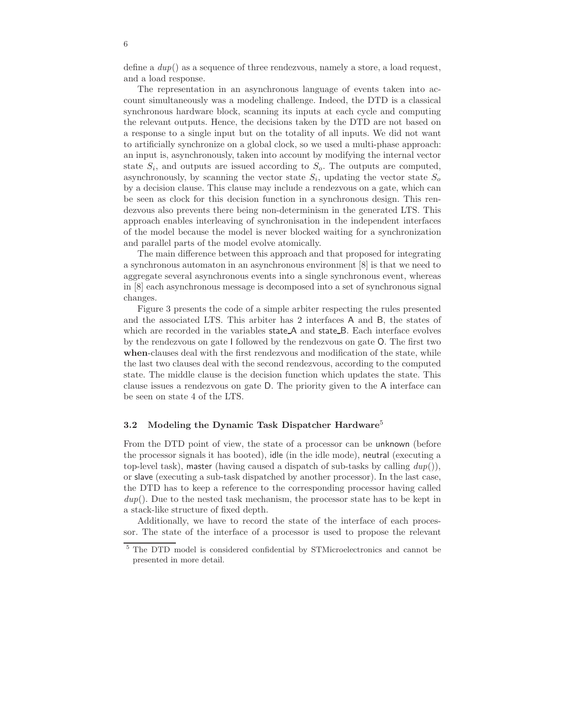define a  $dup()$  as a sequence of three rendezvous, namely a store, a load request, and a load response.

The representation in an asynchronous language of events taken into account simultaneously was a modeling challenge. Indeed, the DTD is a classical synchronous hardware block, scanning its inputs at each cycle and computing the relevant outputs. Hence, the decisions taken by the DTD are not based on a response to a single input but on the totality of all inputs. We did not want to artificially synchronize on a global clock, so we used a multi-phase approach: an input is, asynchronously, taken into account by modifying the internal vector state  $S_i$ , and outputs are issued according to  $S_o$ . The outputs are computed, asynchronously, by scanning the vector state  $S_i$ , updating the vector state  $S_o$ by a decision clause. This clause may include a rendezvous on a gate, which can be seen as clock for this decision function in a synchronous design. This rendezvous also prevents there being non-determinism in the generated LTS. This approach enables interleaving of synchronisation in the independent interfaces of the model because the model is never blocked waiting for a synchronization and parallel parts of the model evolve atomically.

The main difference between this approach and that proposed for integrating a synchronous automaton in an asynchronous environment [8] is that we need to aggregate several asynchronous events into a single synchronous event, whereas in [8] each asynchronous message is decomposed into a set of synchronous signal changes.

Figure 3 presents the code of a simple arbiter respecting the rules presented and the associated LTS. This arbiter has 2 interfaces A and B, the states of which are recorded in the variables state A and state B. Each interface evolves by the rendezvous on gate I followed by the rendezvous on gate O. The first two when-clauses deal with the first rendezvous and modification of the state, while the last two clauses deal with the second rendezvous, according to the computed state. The middle clause is the decision function which updates the state. This clause issues a rendezvous on gate D. The priority given to the A interface can be seen on state 4 of the LTS.

#### 3.2 Modeling the Dynamic Task Dispatcher Hardware<sup>5</sup>

From the DTD point of view, the state of a processor can be unknown (before the processor signals it has booted), idle (in the idle mode), neutral (executing a top-level task), master (having caused a dispatch of sub-tasks by calling  $dup()$ ), or slave (executing a sub-task dispatched by another processor). In the last case, the DTD has to keep a reference to the corresponding processor having called  $dup()$ . Due to the nested task mechanism, the processor state has to be kept in a stack-like structure of fixed depth.

Additionally, we have to record the state of the interface of each processor. The state of the interface of a processor is used to propose the relevant

<sup>5</sup> The DTD model is considered confidential by STMicroelectronics and cannot be presented in more detail.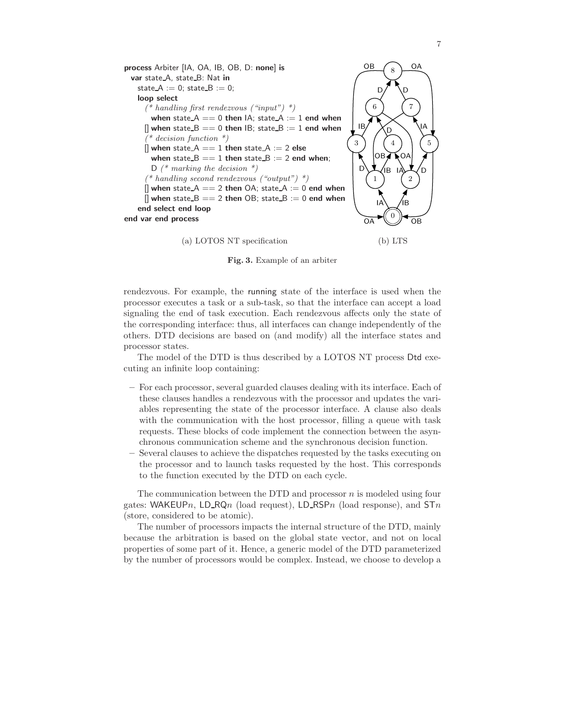

Fig. 3. Example of an arbiter

rendezvous. For example, the running state of the interface is used when the processor executes a task or a sub-task, so that the interface can accept a load signaling the end of task execution. Each rendezvous affects only the state of the corresponding interface: thus, all interfaces can change independently of the others. DTD decisions are based on (and modify) all the interface states and processor states.

The model of the DTD is thus described by a LOTOS NT process Dtd executing an infinite loop containing:

- For each processor, several guarded clauses dealing with its interface. Each of these clauses handles a rendezvous with the processor and updates the variables representing the state of the processor interface. A clause also deals with the communication with the host processor, filling a queue with task requests. These blocks of code implement the connection between the asynchronous communication scheme and the synchronous decision function.
- Several clauses to achieve the dispatches requested by the tasks executing on the processor and to launch tasks requested by the host. This corresponds to the function executed by the DTD on each cycle.

The communication between the DTD and processor  $n$  is modeled using four gates: WAKEUPn, LD RQn (load request), LD RSPn (load response), and  $STn$ (store, considered to be atomic).

The number of processors impacts the internal structure of the DTD, mainly because the arbitration is based on the global state vector, and not on local properties of some part of it. Hence, a generic model of the DTD parameterized by the number of processors would be complex. Instead, we choose to develop a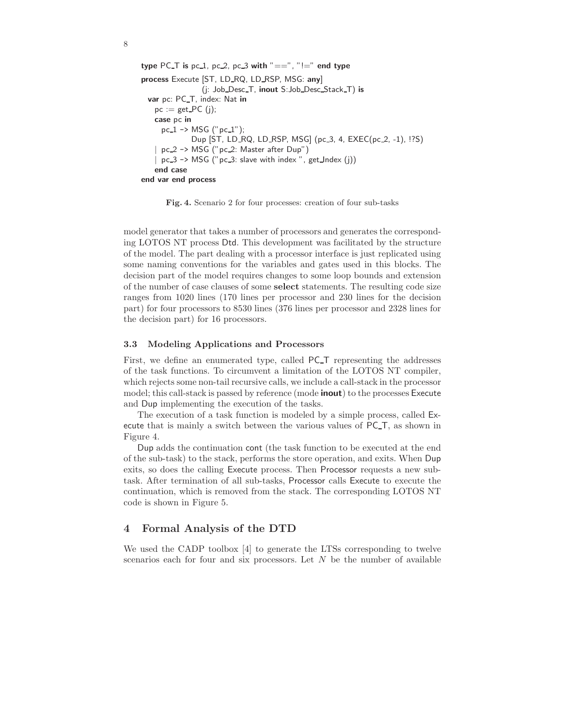```
type PC_T is pc_1, pc_2, pc_3 with "==", "!=" end type
process Execute [ST, LD RQ, LD RSP, MSG: any]
                (j: Job Desc T, inout S:Job Desc Stack T) is
 var pc: PC_T, index: Nat in
   pc := get_PC(j);case pc in
     pc-1 -> MSG ("pc-1");
             Dup [ST, LD_RQ, LD_RSP, MSG] (pc_3, 4, EXEC(pc_2, -1), !?S)
     | pc 2 -> MSG ("pc 2: Master after Dup")
     pc_3 -> MSG ("pc_3: slave with index ", get Index (j))
   end case
end var end process
```
Fig. 4. Scenario 2 for four processes: creation of four sub-tasks

model generator that takes a number of processors and generates the corresponding LOTOS NT process Dtd. This development was facilitated by the structure of the model. The part dealing with a processor interface is just replicated using some naming conventions for the variables and gates used in this blocks. The decision part of the model requires changes to some loop bounds and extension of the number of case clauses of some select statements. The resulting code size ranges from 1020 lines (170 lines per processor and 230 lines for the decision part) for four processors to 8530 lines (376 lines per processor and 2328 lines for the decision part) for 16 processors.

#### 3.3 Modeling Applications and Processors

First, we define an enumerated type, called PC T representing the addresses of the task functions. To circumvent a limitation of the LOTOS NT compiler, which rejects some non-tail recursive calls, we include a call-stack in the processor model; this call-stack is passed by reference (mode **inout**) to the processes Execute and Dup implementing the execution of the tasks.

The execution of a task function is modeled by a simple process, called Execute that is mainly a switch between the various values of PC T, as shown in Figure 4.

Dup adds the continuation cont (the task function to be executed at the end of the sub-task) to the stack, performs the store operation, and exits. When Dup exits, so does the calling Execute process. Then Processor requests a new subtask. After termination of all sub-tasks, Processor calls Execute to execute the continuation, which is removed from the stack. The corresponding LOTOS NT code is shown in Figure 5.

### 4 Formal Analysis of the DTD

We used the CADP toolbox [4] to generate the LTSs corresponding to twelve scenarios each for four and six processors. Let  $N$  be the number of available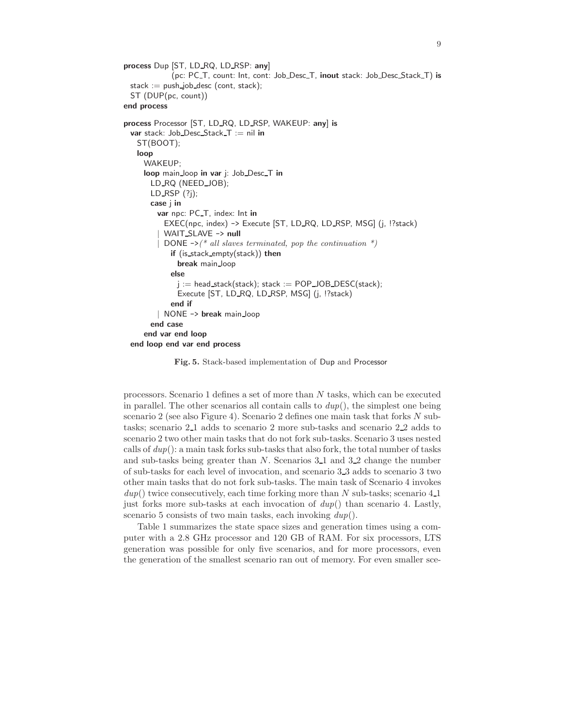```
process Dup [ST, LD_RQ, LD_RSP: any]
            (pc: PC_T, count: Int, cont: Job_Desc_T, inout stack: Job_Desc_Stack_T) is
 stack := push-job desc (cont, stack);
 ST (DUP(pc, count))
end process
process Processor [ST, LD_RQ, LD_RSP, WAKEUP: any] is
 var stack: Job Desc Stack T := \text{nil} in
   ST(BOOT);
   loop
     WAKEUP;
     loop main loop in var j: Job Desc T in
       LD_RQ (NEED_JOB);
       LD_RSP(?);
       case j in
         var npc: PC T, index: Int in
          EXEC(npc, index) -> Execute [ST, LD RQ, LD RSP, MSG] (j, !?stack)
          WAIT_SLAVE -> null
         | DONE \rightarrow (* all slaves terminated, pop the continuation *)
            if (is_stack_empty(stack)) then
              break main loop
            else
              j := head_stack(stack); stack := POP_JOB_DESC(stack);
              Execute [ST, LD_RQ, LD_RSP, MSG] (j, !?stack)
            end if
         | NONE -> break main_loop
       end case
     end var end loop
 end loop end var end process
```
Fig. 5. Stack-based implementation of Dup and Processor

processors. Scenario 1 defines a set of more than N tasks, which can be executed in parallel. The other scenarios all contain calls to  $dup()$ , the simplest one being scenario 2 (see also Figure 4). Scenario 2 defines one main task that forks N subtasks; scenario 2 1 adds to scenario 2 more sub-tasks and scenario 2 2 adds to scenario 2 two other main tasks that do not fork sub-tasks. Scenario 3 uses nested calls of  $dup()$ : a main task forks sub-tasks that also fork, the total number of tasks and sub-tasks being greater than  $N$ . Scenarios 3.1 and 3.2 change the number of sub-tasks for each level of invocation, and scenario 3 3 adds to scenario 3 two other main tasks that do not fork sub-tasks. The main task of Scenario 4 invokes  $dup()$  twice consecutively, each time forking more than N sub-tasks; scenario 4.1 just forks more sub-tasks at each invocation of  $dup()$  than scenario 4. Lastly, scenario 5 consists of two main tasks, each invoking  $dup(.)$ .

Table 1 summarizes the state space sizes and generation times using a computer with a 2.8 GHz processor and 120 GB of RAM. For six processors, LTS generation was possible for only five scenarios, and for more processors, even the generation of the smallest scenario ran out of memory. For even smaller sce-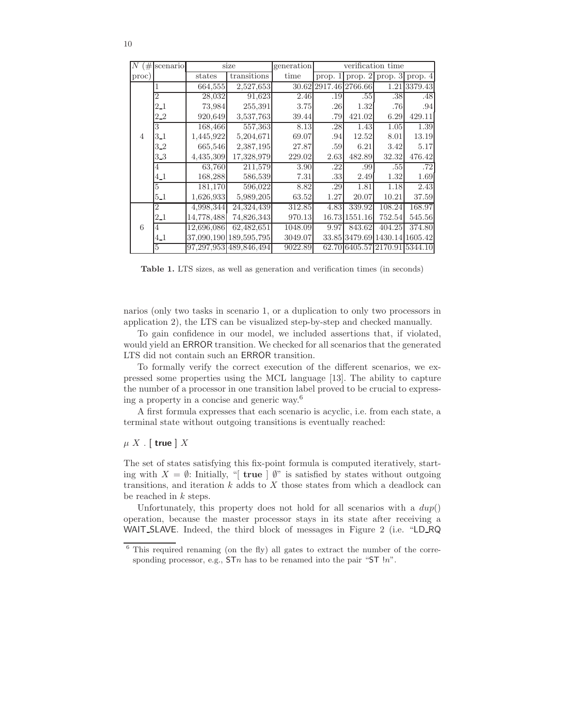|                | $#$ scenario   | size       |                            | generation | verification time |                       |                               |                      |
|----------------|----------------|------------|----------------------------|------------|-------------------|-----------------------|-------------------------------|----------------------|
| proc)          |                | states     | transitions                | time       | prop. $1$         |                       | prop. $2$ prop. $3$           | prop. $\overline{4}$ |
|                |                | 664,555    | 2,527,653                  |            |                   | 30.62 2917.46 2766.66 | 1.21                          | 3379.43              |
|                |                | 28,032     | 91,623                     | 2.46       | .19               | .55                   | .38                           | .48                  |
|                | $2 - 1$        | 73,984     | 255,391                    | 3.75       | .26               | 1.32                  | .76                           | .94                  |
|                | $2\_2$         | 920,649    | 3,537,763                  | 39.44      | .79               | 421.02                | 6.29                          | 429.11               |
|                |                | 168,466    | 557,363                    | 8.13       | .28               | 1.43                  | 1.05                          | 1.39                 |
| $\overline{4}$ | $3\_1$         | 1,445,922  | 5,204,671                  | 69.07      | .94               | 12.52                 | 8.01                          | 13.19                |
|                | $3\_2$         | 665,546    | 2,387,195                  | 27.87      | .59               | 6.21                  | 3.42                          | 5.17                 |
|                | 3.3            | 4,435,309  | 17,328,979                 | 229.02     | 2.63              | 482.89                | 32.32                         | 476.42               |
|                | 4              | 63,760     | 211,579                    | 3.90       | .22               | .99                   | .55                           | .72                  |
|                | $4\_1$         | 168,288    | 586,539                    | 7.31       | $.33\,$           | 2.49                  | 1.32                          | 1.69                 |
|                | 5              | 181,170    | 596,022                    | 8.82       | .29               | 1.81                  | 1.18                          | 2.43                 |
|                | $5-1$          | 1,626,933  | 5,989,205                  | 63.52      | 1.27              | 20.07                 | 10.21                         | 37.59                |
|                | $\overline{2}$ | 4,998,344  | 24,324,439                 | 312.85     | 4.83              | 339.92                | 108.24                        | 168.97               |
|                | $2\_1$         | 14,778,488 | 74,826,343                 | 970.13     | 16.73             | 1551.16               | 752.54                        | 545.56               |
| 6              | 4              | 12,696,086 | 62,482,651                 | 1048.09    | 9.97              | 843.62                | 404.25                        | 374.80               |
|                | 4_1            |            | 37,090,190 189,595,795     | 3049.07    |                   |                       | 33.85 3479.69 1430.14 1605.42 |                      |
|                | 5              |            | 97, 297, 953 489, 846, 494 | 9022.89    |                   |                       | 62.70 6405.57 2170.91 5344.10 |                      |

Table 1. LTS sizes, as well as generation and verification times (in seconds)

narios (only two tasks in scenario 1, or a duplication to only two processors in application 2), the LTS can be visualized step-by-step and checked manually.

To gain confidence in our model, we included assertions that, if violated, would yield an ERROR transition. We checked for all scenarios that the generated LTS did not contain such an ERROR transition.

To formally verify the correct execution of the different scenarios, we expressed some properties using the MCL language [13]. The ability to capture the number of a processor in one transition label proved to be crucial to expressing a property in a concise and generic way.<sup>6</sup>

A first formula expresses that each scenario is acyclic, i.e. from each state, a terminal state without outgoing transitions is eventually reached:

#### $\mu X$ . [true ]  $X$

The set of states satisfying this fix-point formula is computed iteratively, starting with  $X = \emptyset$ : Initially, "[ true ]  $\emptyset$ " is satisfied by states without outgoing transitions, and iteration  $k$  adds to  $X$  those states from which a deadlock can be reached in  $k$  steps.

Unfortunately, this property does not hold for all scenarios with a  $dup()$ operation, because the master processor stays in its state after receiving a WAIT SLAVE. Indeed, the third block of messages in Figure 2 (i.e. "LD RQ

 $6$  This required renaming (on the fly) all gates to extract the number of the corresponding processor, e.g.,  $STn$  has to be renamed into the pair "ST !n".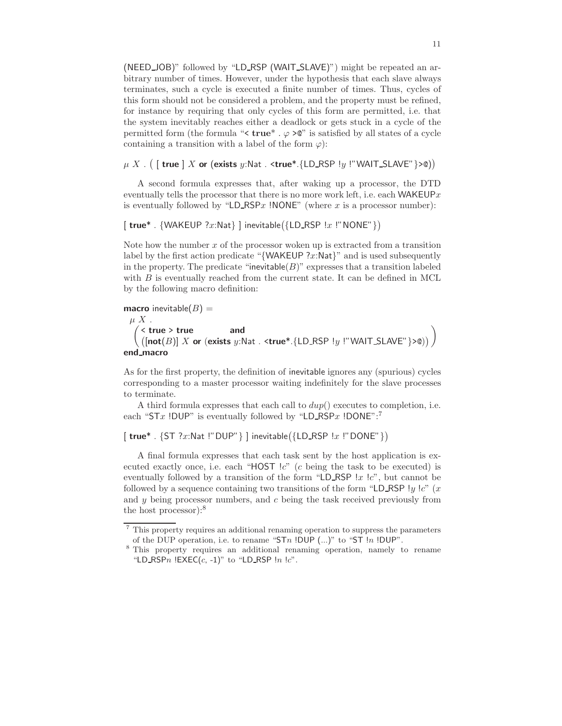(NEED JOB)" followed by "LD RSP (WAIT SLAVE)") might be repeated an arbitrary number of times. However, under the hypothesis that each slave always terminates, such a cycle is executed a finite number of times. Thus, cycles of this form should not be considered a problem, and the property must be refined, for instance by requiring that only cycles of this form are permitted, i.e. that the system inevitably reaches either a deadlock or gets stuck in a cycle of the permitted form (the formula " $\times$  true".  $\varphi > \mathbb{Q}$ " is satisfied by all states of a cycle containing a transition with a label of the form  $\varphi$ ):

## $\mu$  X . ( [true ] X or (exists y:Nat . <true\*.{LD\_RSP !y !"WAIT\_SLAVE"}>0))

A second formula expresses that, after waking up a processor, the DTD eventually tells the processor that there is no more work left, i.e. each WAKEUP $x$ is eventually followed by "LD\_RSPx !NONE" (where  $x$  is a processor number):

#### [  $true^*$  .  $\{WAKEUP ?x:Nat\}$  ] inevitable $(\{LD\_RSP \: ! x \mid "NONE"\})$

Note how the number  $x$  of the processor woken up is extracted from a transition label by the first action predicate "{WAKEUP ?x:Nat}" and is used subsequently in the property. The predicate "inevitable $(B)$ " expresses that a transition labeled with  $B$  is eventually reached from the current state. It can be defined in MCL by the following macro definition:

#### **macro** inevitable( $B$ ) =  $\mu X$ .  $\checkmark$  < true > true < true > true and  $([not(B)] X$  or  $(exists y:Nat . \text{ *true**}. \{LD\_RSP ! y ! "WAIT_SLAVE" }> \emptyset)$  $\setminus$ end\_macro

As for the first property, the definition of inevitable ignores any (spurious) cycles corresponding to a master processor waiting indefinitely for the slave processes to terminate.

A third formula expresses that each call to  $dup()$  executes to completion, i.e. each "STx !DUP" is eventually followed by "LD\_RSPx !DONE":<sup>7</sup>

#### $[$  true\* .  $\{$  ST ?x:Nat !" DUP"  $\}$  ] inevitable $(\{$ LD\_RSP !x !" DONE"  $\})$

A final formula expresses that each task sent by the host application is executed exactly once, i.e. each "HOST  $\langle c \rangle$ " (c being the task to be executed) is eventually followed by a transition of the form "LD\_RSP  $\exists x \exists c$ ", but cannot be followed by a sequence containing two transitions of the form "LD\_RSP !y !c" (x and  $y$  being processor numbers, and  $c$  being the task received previously from the host processor):<sup>8</sup>

<sup>7</sup> This property requires an additional renaming operation to suppress the parameters of the DUP operation, i.e. to rename " $STn$  !DUP (...)" to "ST !n !DUP".

<sup>8</sup> This property requires an additional renaming operation, namely to rename "LD\_RSPn !EXEC $(c, -1)$ " to "LD\_RSP !n ! $c$ ".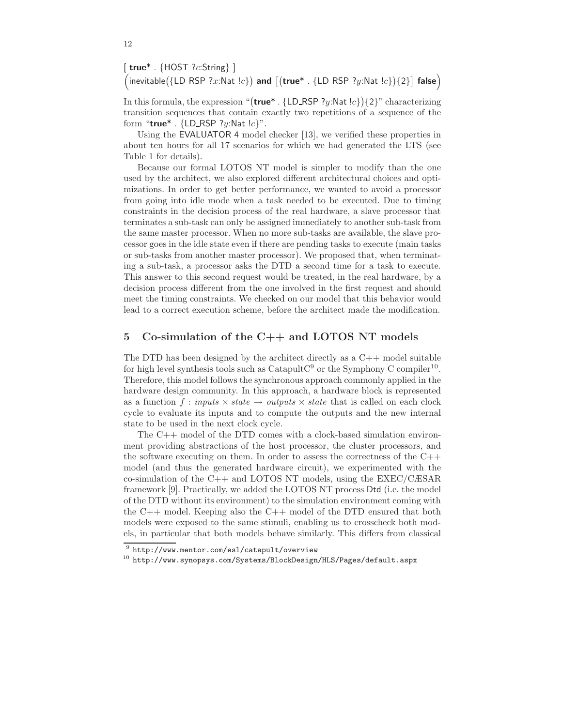[ true\* . {HOST ?c:String} ]  $\left(\text{inevitable}(\{\text{LD\_RSP } ?x:\text{Nat} !c\})\text{ and }\left[\text{(true*. }\{\text{LD\_RSP } ?y:\text{Nat} !c\})\{2\}\right]\text{ false}\right)$ 

In this formula, the expression "(true\* . {LD\_RSP ?y:Nat !c}) {2}" characterizing transition sequences that contain exactly two repetitions of a sequence of the form "true\* .  ${LD_RSP}$  ?y:Nat  $|c|$ ".

Using the EVALUATOR 4 model checker [13], we verified these properties in about ten hours for all 17 scenarios for which we had generated the LTS (see Table 1 for details).

Because our formal LOTOS NT model is simpler to modify than the one used by the architect, we also explored different architectural choices and optimizations. In order to get better performance, we wanted to avoid a processor from going into idle mode when a task needed to be executed. Due to timing constraints in the decision process of the real hardware, a slave processor that terminates a sub-task can only be assigned immediately to another sub-task from the same master processor. When no more sub-tasks are available, the slave processor goes in the idle state even if there are pending tasks to execute (main tasks or sub-tasks from another master processor). We proposed that, when terminating a sub-task, a processor asks the DTD a second time for a task to execute. This answer to this second request would be treated, in the real hardware, by a decision process different from the one involved in the first request and should meet the timing constraints. We checked on our model that this behavior would lead to a correct execution scheme, before the architect made the modification.

#### 5 Co-simulation of the C++ and LOTOS NT models

The DTD has been designed by the architect directly as a  $C++$  model suitable for high level synthesis tools such as  $\text{Catapult}C^9$  or the Symphony C compiler<sup>10</sup>. Therefore, this model follows the synchronous approach commonly applied in the hardware design community. In this approach, a hardware block is represented as a function  $f : inputs \times state \rightarrow outputs \times state$  that is called on each clock cycle to evaluate its inputs and to compute the outputs and the new internal state to be used in the next clock cycle.

The C++ model of the DTD comes with a clock-based simulation environment providing abstractions of the host processor, the cluster processors, and the software executing on them. In order to assess the correctness of the C++ model (and thus the generated hardware circuit), we experimented with the co-simulation of the C++ and LOTOS NT models, using the EXEC/CÆSAR framework [9]. Practically, we added the LOTOS NT process Dtd (i.e. the model of the DTD without its environment) to the simulation environment coming with the C++ model. Keeping also the C++ model of the DTD ensured that both models were exposed to the same stimuli, enabling us to crosscheck both models, in particular that both models behave similarly. This differs from classical

<sup>9</sup> http://www.mentor.com/esl/catapult/overview

 $^{10}$ http://www.synopsys.com/Systems/BlockDesign/HLS/Pages/default.aspx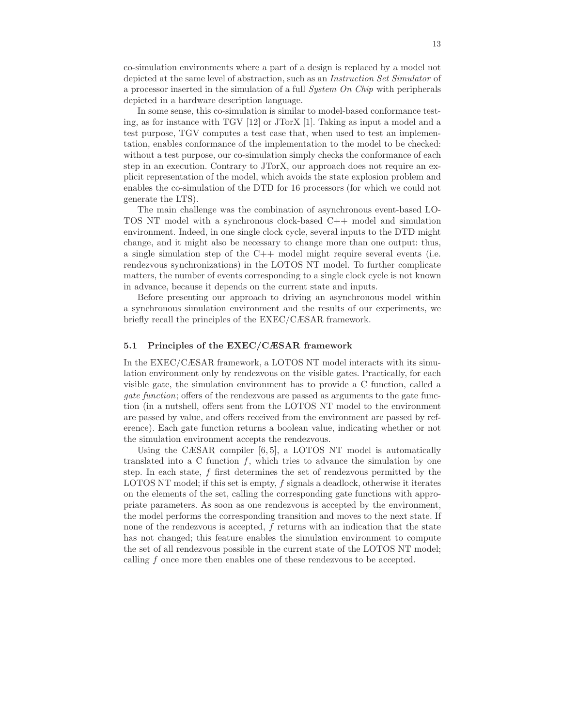co-simulation environments where a part of a design is replaced by a model not depicted at the same level of abstraction, such as an Instruction Set Simulator of a processor inserted in the simulation of a full System On Chip with peripherals depicted in a hardware description language.

In some sense, this co-simulation is similar to model-based conformance testing, as for instance with TGV [12] or JTorX [1]. Taking as input a model and a test purpose, TGV computes a test case that, when used to test an implementation, enables conformance of the implementation to the model to be checked: without a test purpose, our co-simulation simply checks the conformance of each step in an execution. Contrary to JTorX, our approach does not require an explicit representation of the model, which avoids the state explosion problem and enables the co-simulation of the DTD for 16 processors (for which we could not generate the LTS).

The main challenge was the combination of asynchronous event-based LO-TOS NT model with a synchronous clock-based C++ model and simulation environment. Indeed, in one single clock cycle, several inputs to the DTD might change, and it might also be necessary to change more than one output: thus, a single simulation step of the  $C++$  model might require several events (i.e. rendezvous synchronizations) in the LOTOS NT model. To further complicate matters, the number of events corresponding to a single clock cycle is not known in advance, because it depends on the current state and inputs.

Before presenting our approach to driving an asynchronous model within a synchronous simulation environment and the results of our experiments, we briefly recall the principles of the EXEC/CÆSAR framework.

#### 5.1 Principles of the EXEC/CÆSAR framework

In the EXEC/CÆSAR framework, a LOTOS NT model interacts with its simulation environment only by rendezvous on the visible gates. Practically, for each visible gate, the simulation environment has to provide a C function, called a gate function; offers of the rendezvous are passed as arguments to the gate function (in a nutshell, offers sent from the LOTOS NT model to the environment are passed by value, and offers received from the environment are passed by reference). Each gate function returns a boolean value, indicating whether or not the simulation environment accepts the rendezvous.

Using the CÆSAR compiler  $[6, 5]$ , a LOTOS NT model is automatically translated into a C function  $f$ , which tries to advance the simulation by one step. In each state, f first determines the set of rendezvous permitted by the LOTOS NT model; if this set is empty,  $f$  signals a deadlock, otherwise it iterates on the elements of the set, calling the corresponding gate functions with appropriate parameters. As soon as one rendezvous is accepted by the environment, the model performs the corresponding transition and moves to the next state. If none of the rendezvous is accepted,  $f$  returns with an indication that the state has not changed; this feature enables the simulation environment to compute the set of all rendezvous possible in the current state of the LOTOS NT model; calling f once more then enables one of these rendezvous to be accepted.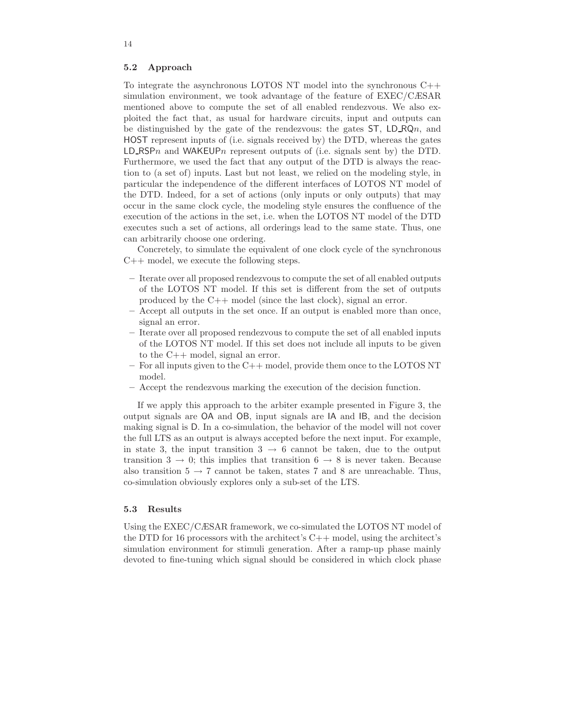#### 5.2 Approach

To integrate the asynchronous LOTOS NT model into the synchronous C++ simulation environment, we took advantage of the feature of EXEC/CÆSAR mentioned above to compute the set of all enabled rendezvous. We also exploited the fact that, as usual for hardware circuits, input and outputs can be distinguished by the gate of the rendezvous: the gates  $ST$ ,  $LD_RQ_n$ , and HOST represent inputs of (i.e. signals received by) the DTD, whereas the gates  $LD_RSPn$  and WAKEUPn represent outputs of (i.e. signals sent by) the DTD. Furthermore, we used the fact that any output of the DTD is always the reaction to (a set of) inputs. Last but not least, we relied on the modeling style, in particular the independence of the different interfaces of LOTOS NT model of the DTD. Indeed, for a set of actions (only inputs or only outputs) that may occur in the same clock cycle, the modeling style ensures the confluence of the execution of the actions in the set, i.e. when the LOTOS NT model of the DTD executes such a set of actions, all orderings lead to the same state. Thus, one can arbitrarily choose one ordering.

Concretely, to simulate the equivalent of one clock cycle of the synchronous  $C++$  model, we execute the following steps.

- Iterate over all proposed rendezvous to compute the set of all enabled outputs of the LOTOS NT model. If this set is different from the set of outputs produced by the C++ model (since the last clock), signal an error.
- Accept all outputs in the set once. If an output is enabled more than once, signal an error.
- Iterate over all proposed rendezvous to compute the set of all enabled inputs of the LOTOS NT model. If this set does not include all inputs to be given to the C++ model, signal an error.
- For all inputs given to the C++ model, provide them once to the LOTOS NT model.
- Accept the rendezvous marking the execution of the decision function.

If we apply this approach to the arbiter example presented in Figure 3, the output signals are OA and OB, input signals are IA and IB, and the decision making signal is D. In a co-simulation, the behavior of the model will not cover the full LTS as an output is always accepted before the next input. For example, in state 3, the input transition  $3 \rightarrow 6$  cannot be taken, due to the output transition  $3 \rightarrow 0$ ; this implies that transition  $6 \rightarrow 8$  is never taken. Because also transition  $5 \rightarrow 7$  cannot be taken, states 7 and 8 are unreachable. Thus, co-simulation obviously explores only a sub-set of the LTS.

#### 5.3 Results

Using the EXEC/CÆSAR framework, we co-simulated the LOTOS NT model of the DTD for 16 processors with the architect's  $C++$  model, using the architect's simulation environment for stimuli generation. After a ramp-up phase mainly devoted to fine-tuning which signal should be considered in which clock phase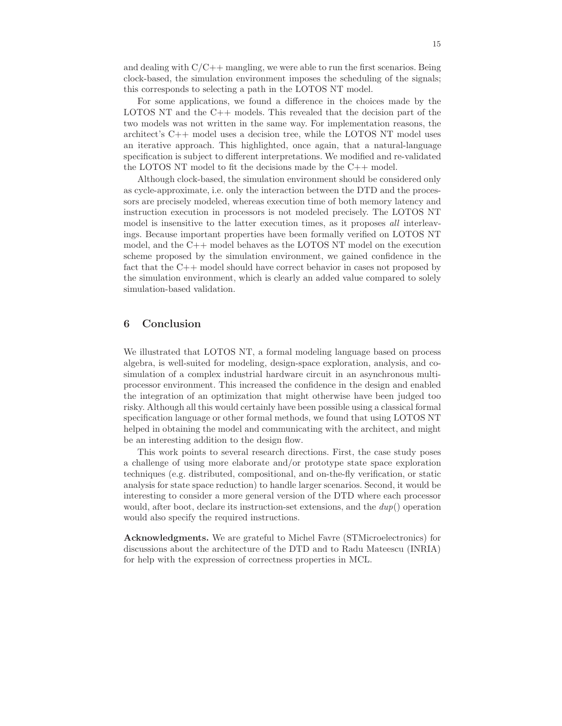and dealing with  $C/C++$  mangling, we were able to run the first scenarios. Being clock-based, the simulation environment imposes the scheduling of the signals; this corresponds to selecting a path in the LOTOS NT model.

For some applications, we found a difference in the choices made by the LOTOS NT and the  $C_{++}$  models. This revealed that the decision part of the two models was not written in the same way. For implementation reasons, the architect's C++ model uses a decision tree, while the LOTOS NT model uses an iterative approach. This highlighted, once again, that a natural-language specification is subject to different interpretations. We modified and re-validated the LOTOS NT model to fit the decisions made by the C++ model.

Although clock-based, the simulation environment should be considered only as cycle-approximate, i.e. only the interaction between the DTD and the processors are precisely modeled, whereas execution time of both memory latency and instruction execution in processors is not modeled precisely. The LOTOS NT model is insensitive to the latter execution times, as it proposes *all* interleavings. Because important properties have been formally verified on LOTOS NT model, and the C++ model behaves as the LOTOS NT model on the execution scheme proposed by the simulation environment, we gained confidence in the fact that the C++ model should have correct behavior in cases not proposed by the simulation environment, which is clearly an added value compared to solely simulation-based validation.

### 6 Conclusion

We illustrated that LOTOS NT, a formal modeling language based on process algebra, is well-suited for modeling, design-space exploration, analysis, and cosimulation of a complex industrial hardware circuit in an asynchronous multiprocessor environment. This increased the confidence in the design and enabled the integration of an optimization that might otherwise have been judged too risky. Although all this would certainly have been possible using a classical formal specification language or other formal methods, we found that using LOTOS NT helped in obtaining the model and communicating with the architect, and might be an interesting addition to the design flow.

This work points to several research directions. First, the case study poses a challenge of using more elaborate and/or prototype state space exploration techniques (e.g. distributed, compositional, and on-the-fly verification, or static analysis for state space reduction) to handle larger scenarios. Second, it would be interesting to consider a more general version of the DTD where each processor would, after boot, declare its instruction-set extensions, and the  $dup()$  operation would also specify the required instructions.

Acknowledgments. We are grateful to Michel Favre (STMicroelectronics) for discussions about the architecture of the DTD and to Radu Mateescu (INRIA) for help with the expression of correctness properties in MCL.